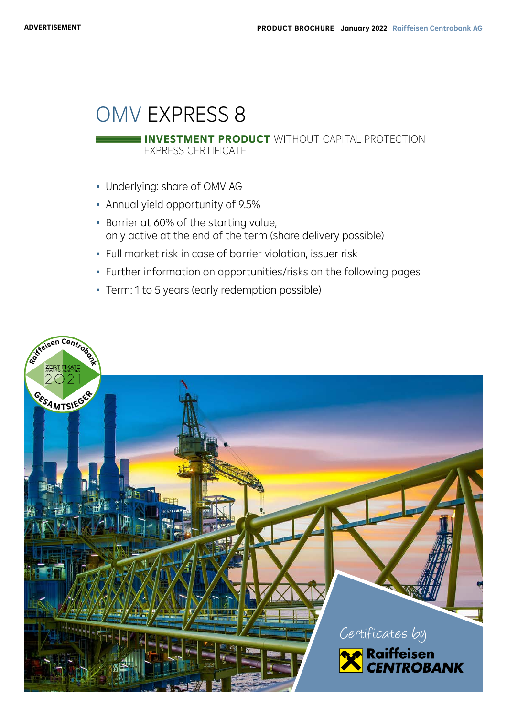# OMV EXPRESS 8

EXPRESS CERTIFICATE **INVESTMENT PRODUCT** WITHOUT CAPITAL PROTECTION

- Underlying: share of OMV AG
- Annual yield opportunity of 9.5%
- Barrier at 60% of the starting value, only active at the end of the term (share delivery possible)
- Full market risk in case of barrier violation, issuer risk
- Further information on opportunities/risks on the following pages
- Term: 1 to 5 years (early redemption possible)

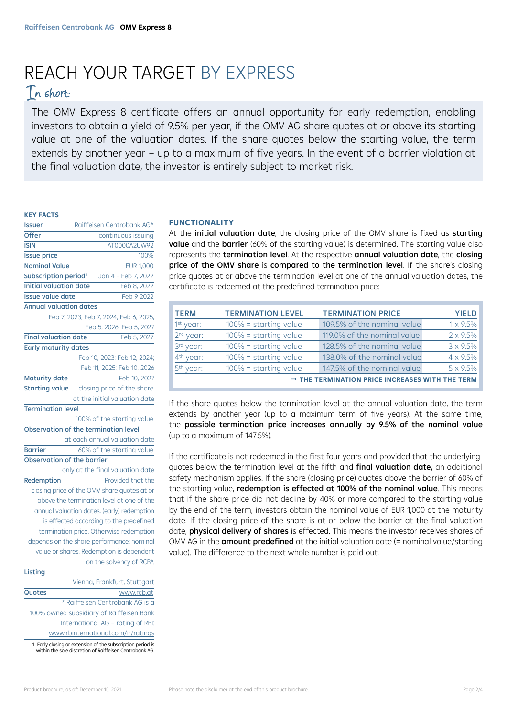# REACH YOUR TARGET BY EXPRESS

# In short:

The OMV Express 8 certificate offers an annual opportunity for early redemption, enabling investors to obtain a yield of 9.5% per year, if the OMV AG share quotes at or above its starting value at one of the valuation dates. If the share quotes below the starting value, the term extends by another year – up to a maximum of five years. In the event of a barrier violation at the final valuation date, the investor is entirely subject to market risk.

# **KEY FACTS**

| <b>Issuer</b>                        | Raiffeisen Centrobank AG* |                                             |  |
|--------------------------------------|---------------------------|---------------------------------------------|--|
| <b>Offer</b>                         | continuous issuing        |                                             |  |
| <b>ISIN</b>                          | AT0000A2UW92              |                                             |  |
| <b>Issue price</b>                   |                           | 100%                                        |  |
| <b>Nominal Value</b>                 |                           | <b>EUR 1.000</b>                            |  |
| Subscription period <sup>1</sup>     |                           | Jan 4 - Feb 7, 2022                         |  |
| <b>Initial valuation date</b>        |                           | Feb 8, 2022                                 |  |
| <b>Issue value date</b>              |                           | Feb 9 2022                                  |  |
| <b>Annual valuation dates</b>        |                           |                                             |  |
|                                      |                           | Feb 7, 2023; Feb 7, 2024; Feb 6, 2025;      |  |
|                                      |                           | Feb 5, 2026; Feb 5, 2027                    |  |
| <b>Final valuation date</b>          |                           | Feb 5, 2027                                 |  |
| <b>Early maturity dates</b>          |                           |                                             |  |
|                                      |                           | Feb 10, 2023; Feb 12, 2024;                 |  |
|                                      |                           | Feb 11, 2025; Feb 10, 2026                  |  |
| <b>Maturity date</b>                 |                           | Feb 10, 2027                                |  |
| <b>Starting value</b>                |                           | closing price of the share                  |  |
|                                      |                           | at the initial valuation date               |  |
| <b>Termination level</b>             |                           |                                             |  |
|                                      |                           | 100% of the starting value                  |  |
| Observation of the termination level |                           |                                             |  |
|                                      |                           | at each annual valuation date               |  |
| <b>Barrier</b>                       |                           | 60% of the starting value                   |  |
| <b>Observation of the barrier</b>    |                           |                                             |  |
|                                      |                           | only at the final valuation date            |  |
| Redemption                           |                           | Provided that the                           |  |
|                                      |                           | closing price of the OMV share quotes at or |  |
|                                      |                           | above the termination level at one of the   |  |
|                                      |                           | annual valuation dates, (early) redemption  |  |
|                                      |                           | is effected according to the predefined     |  |
|                                      |                           | termination price. Otherwise redemption     |  |
|                                      |                           | depends on the share performance: nominal   |  |
|                                      |                           | value or shares. Redemption is dependent    |  |
|                                      |                           | on the solvency of RCB*.                    |  |
| Listing                              |                           |                                             |  |
|                                      |                           |                                             |  |
|                                      |                           | Vienna, Frankfurt, Stuttgart<br>www.rcb.at  |  |

\* Raiffeisen Centrobank AG is a 100% owned subsidiary of Raiffeisen Bank International AG – rating of RBI: www.rbinternational.com/ir/ratings

1 Early closing or extension of the subscription period is within the sole discretion of Raiffeisen Centrobank AG.

# **FUNCTIONALITY**

At the **initial valuation date**, the closing price of the OMV share is fixed as **starting** value and the barrier (60% of the starting value) is determined. The starting value also represents the termination level. At the respective annual valuation date, the closing price of the OMV share is compared to the termination level. If the share's closing price quotes at or above the termination level at one of the annual valuation dates, the certificate is redeemed at the predefined termination price:

| <b>TERM</b>                                                 | <b>TERMINATION LEVEL</b> | <b>TERMINATION PRICE</b>    | <b>YIELD</b>     |
|-------------------------------------------------------------|--------------------------|-----------------------------|------------------|
| 1st year:                                                   | $100\%$ = starting value | 109.5% of the nominal value | 1 x 9.5%         |
| 2 <sup>nd</sup> year:                                       | $100\%$ = starting value | 119.0% of the nominal value | $2 \times 9.5\%$ |
| 3rd year:                                                   | $100\%$ = starting value | 128.5% of the nominal value | 3 x 9.5%         |
| 4 <sup>th</sup> year:                                       | $100\%$ = starting value | 138.0% of the nominal value | 4 x 9.5%         |
| 5 <sup>th</sup> year:                                       | $100\%$ = starting value | 147.5% of the nominal value | 5 x 9.5%         |
| $\rightarrow$ THE TERMINATION PRICE INCREASES WITH THE TERM |                          |                             |                  |

If the share quotes below the termination level at the annual valuation date, the term extends by another year (up to a maximum term of five years). At the same time, the possible termination price increases annually by 9.5% of the nominal value (up to a maximum of 147.5%).

If the certificate is not redeemed in the first four years and provided that the underlying quotes below the termination level at the fifth and final valuation date, an additional safety mechanism applies. If the share (closing price) quotes above the barrier of 60% of the starting value, redemption is effected at 100% of the nominal value. This means that if the share price did not decline by 40% or more compared to the starting value by the end of the term, investors obtain the nominal value of EUR 1,000 at the maturity date. If the closing price of the share is at or below the barrier at the final valuation date, physical delivery of shares is effected. This means the investor receives shares of OMV AG in the **amount predefined** at the initial valuation date (= nominal value/starting value). The difference to the next whole number is paid out.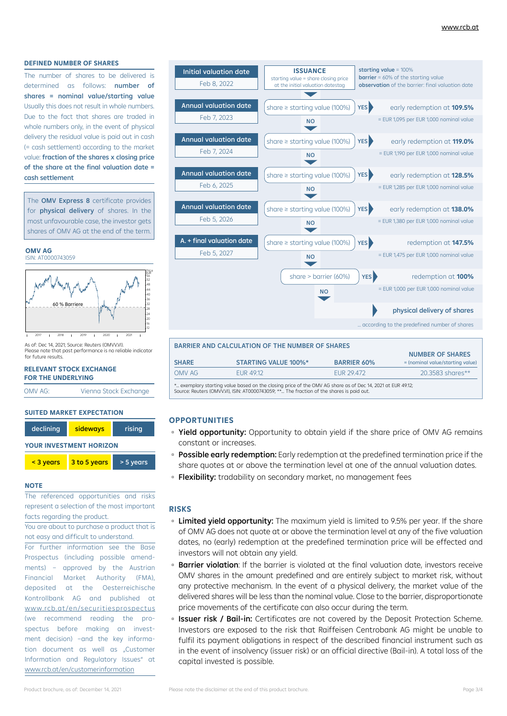### **DEFINED NUMBER OF SHARES**

The number of shares to be delivered is determined as follows: **number of** shares = nominal value/starting value Usually this does not result in whole numbers. Due to the fact that shares are traded in whole numbers only, in the event of physical delivery the residual value is paid out in cash (= cash settlement) according to the market value: fraction of the shares x closing price of the share at the final valuation date = cash settlement

The OMV Express 8 certificate provides for physical delivery of shares. In the most unfavourable case, the investor gets shares of OMV AG at the end of the term.

#### **OMV AG** ISIN: AT0000743059



As of: Dec 14, 2021; Source: Reuters (OMVVVI). Please note that past performance is no reliable indicator for future results.

#### **RELEVANT STOCK EXCHANGE FOR THE UNDERLYING**

OMV AG: Vienna Stock Exchange

#### **SUITED MARKET EXPECTATION**

| declining<br>sideways          |              | rising    |  |
|--------------------------------|--------------|-----------|--|
| <b>YOUR INVESTMENT HORIZON</b> |              |           |  |
| $<$ 3 years                    | 3 to 5 years | > 5 years |  |

#### **NOTE**

The referenced opportunities and risks represent a selection of the most important facts regarding the product.

You are about to purchase a product that is not easy and difficult to understand.

For further information see the Base Prospectus (including possible amendments) – approved by the Austrian Financial Market Authority (FMA), deposited at the Oesterreichische Kontrollbank AG and published at www.rcb.at/en/securitiesprospectus (we recommend reading the prospectus before making an investment decision) -and the key information document as well as "Customer Information and Regulatory Issues" at www.rcb.at/en/customerinformation



| BARRIER AND CALCULATION OF THE NUMBER OF SHARES                                                                                                                                                         |                             |                    |                                  |  |  |
|---------------------------------------------------------------------------------------------------------------------------------------------------------------------------------------------------------|-----------------------------|--------------------|----------------------------------|--|--|
|                                                                                                                                                                                                         |                             |                    | <b>NUMBER OF SHARES</b>          |  |  |
| <b>SHARE</b>                                                                                                                                                                                            | <b>STARTING VALUE 100%*</b> | <b>BARRIER 60%</b> | = (nominal value/starting value) |  |  |
| OMV AG                                                                                                                                                                                                  | EUR 49.12                   | EUR 29.472         | 20.3583 shares**                 |  |  |
| * exemplary starting value based on the closing price of the OMV AG share as of Dec 14, 2021 at EUR 49.12;<br>Source: Reuters (OMVV.VI), ISIN: AT0000743059; ** The fraction of the shares is paid out. |                             |                    |                                  |  |  |

# **OPPORTUNITIES**

- Yield opportunity: Opportunity to obtain yield if the share price of OMV AG remains constant or increases.
- **Possible early redemption:** Early redemption at the predefined termination price if the share quotes at or above the termination level at one of the annual valuation dates.
- □ Flexibility: tradability on secondary market, no management fees

# **RISKS**

- **Limited yield opportunity:** The maximum yield is limited to 9.5% per year. If the share of OMV AG does not quote at or above the termination level at any of the five valuation dates, no (early) redemption at the predefined termination price will be effected and investors will not obtain any yield.
- **Barrier violation:** If the barrier is violated at the final valuation date, investors receive OMV shares in the amount predefined and are entirely subject to market risk, without any protective mechanism. In the event of a physical delivery, the market value of the delivered shares will be less than the nominal value. Close to the barrier, disproportionate price movements of the certificate can also occur during the term.
- **Issuer risk / Bail-in:** Certificates are not covered by the Deposit Protection Scheme. Investors are exposed to the risk that Raiffeisen Centrobank AG might be unable to fulfil its payment obligations in respect of the described financial instrument such as in the event of insolvency (issuer risk) or an official directive (Bail-in). A total loss of the capital invested is possible.